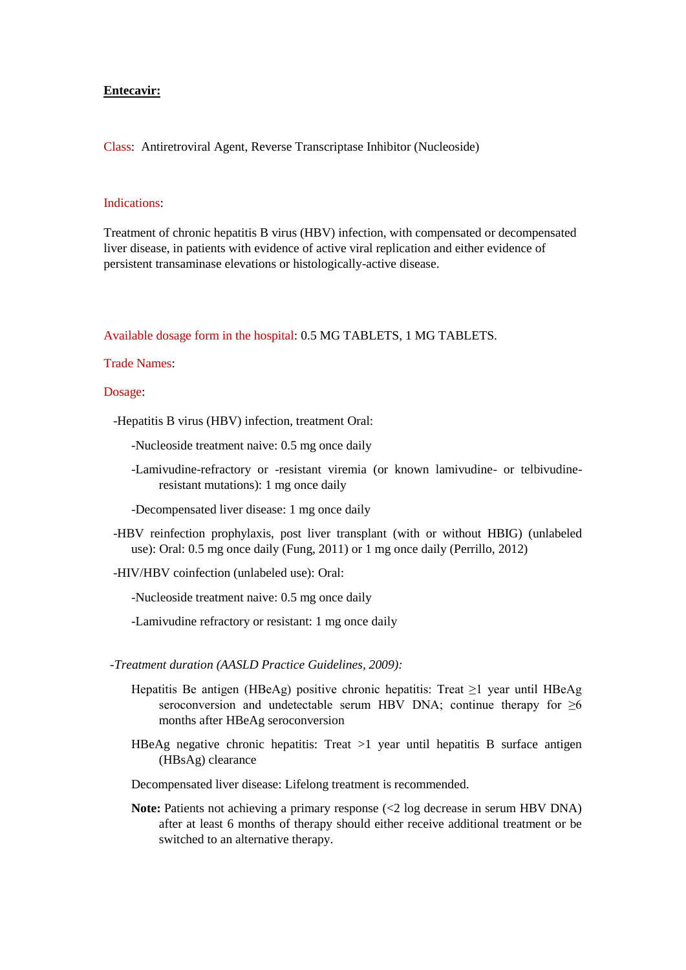## **Entecavir:**

Class: Antiretroviral Agent, Reverse Transcriptase Inhibitor (Nucleoside)

## Indications:

Treatment of chronic hepatitis B virus (HBV) infection, with compensated or decompensated liver disease, in patients with evidence of active viral replication and either evidence of persistent transaminase elevations or histologically-active disease.

Available dosage form in the hospital: 0.5 MG TABLETS, 1 MG TABLETS.

Trade Names:

## Dosage:

-Hepatitis B virus (HBV) infection, treatment Oral:

-Nucleoside treatment naive: 0.5 mg once daily

- -Lamivudine-refractory or -resistant viremia (or known lamivudine- or telbivudineresistant mutations): 1 mg once daily
- -Decompensated liver disease: 1 mg once daily
- -HBV reinfection prophylaxis, post liver transplant (with or without HBIG) (unlabeled use): Oral: 0.5 mg once daily (Fung, 2011) or 1 mg once daily (Perrillo, 2012)
- -HIV/HBV coinfection (unlabeled use): Oral:

-Nucleoside treatment naive: 0.5 mg once daily

-Lamivudine refractory or resistant: 1 mg once daily

- *-Treatment duration (AASLD Practice Guidelines, 2009):*
	- Hepatitis Be antigen (HBeAg) positive chronic hepatitis: Treat ≥1 year until HBeAg seroconversion and undetectable serum HBV DNA; continue therapy for  $\geq 6$ months after HBeAg seroconversion
	- HBeAg negative chronic hepatitis: Treat  $>1$  year until hepatitis B surface antigen (HBsAg) clearance

Decompensated liver disease: Lifelong treatment is recommended.

**Note:** Patients not achieving a primary response (<2 log decrease in serum HBV DNA) after at least 6 months of therapy should either receive additional treatment or be switched to an alternative therapy.